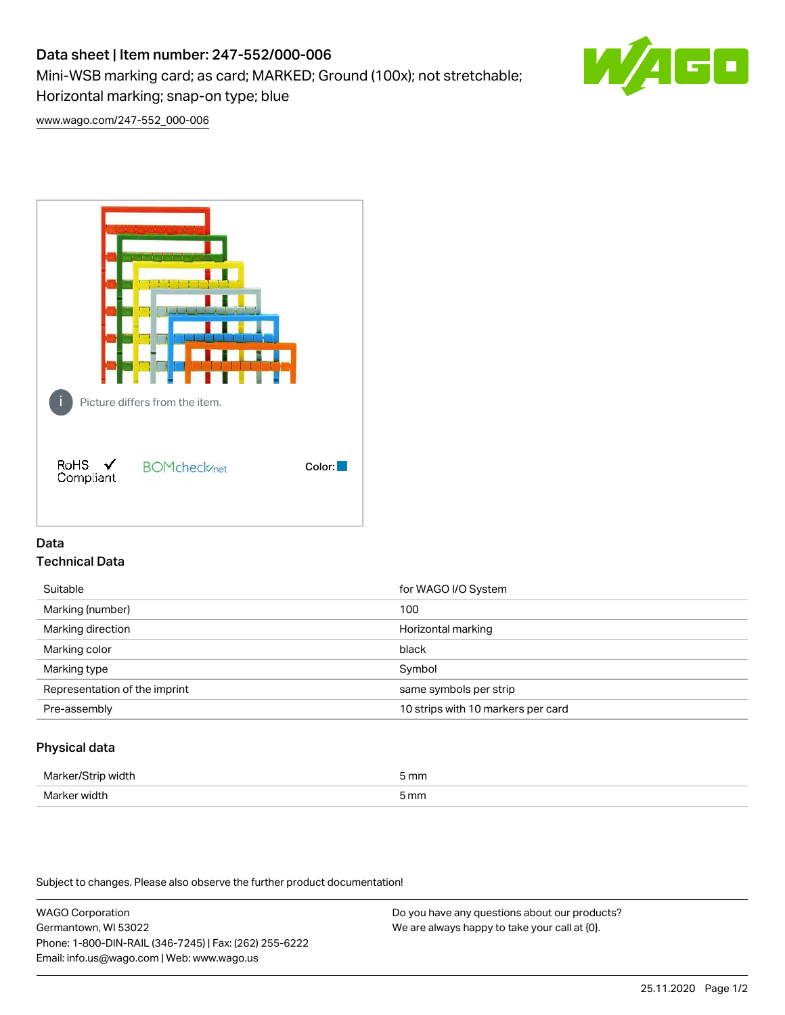# Data sheet | Item number: 247-552/000-006

Mini-WSB marking card; as card; MARKED; Ground (100x); not stretchable;

Horizontal marking; snap-on type; blue

[www.wago.com/247-552\\_000-006](http://www.wago.com/247-552_000-006)



## Data Technical Data

| Suitable                      | for WAGO I/O System                |
|-------------------------------|------------------------------------|
| Marking (number)              | 100                                |
| Marking direction             | Horizontal marking                 |
| Marking color                 | black                              |
| Marking type                  | Symbol                             |
| Representation of the imprint | same symbols per strip             |
| Pre-assembly                  | 10 strips with 10 markers per card |
|                               |                                    |

## Physical data

| Marker/Strip width | 5 mm |
|--------------------|------|
| Marker width       | 5 mm |

Subject to changes. Please also observe the further product documentation!

WAGO Corporation Germantown, WI 53022 Phone: 1-800-DIN-RAIL (346-7245) | Fax: (262) 255-6222 Email: info.us@wago.com | Web: www.wago.us

Do you have any questions about our products? We are always happy to take your call at {0}.